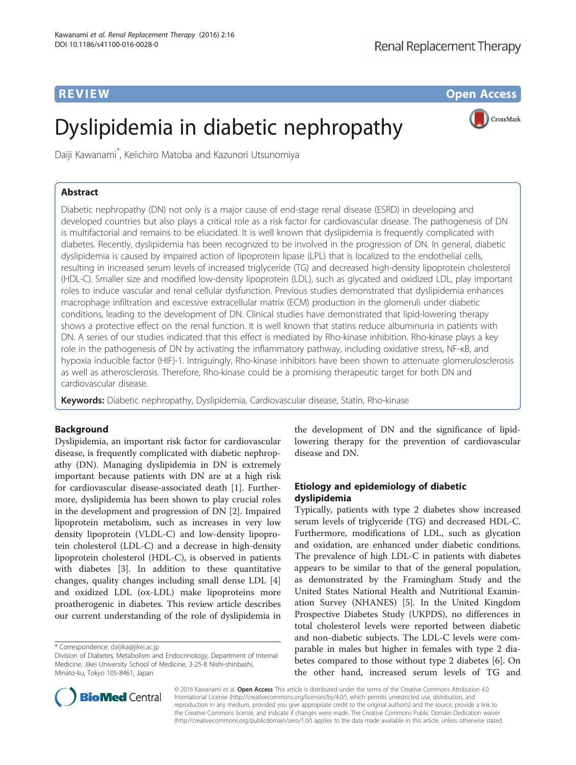**REVIEW CONTROL** CONTROL CONTROL CONTROL CONTROL CONTROL CONTROL CONTROL CONTROL CONTROL CONTROL CONTROL CONTROL

# Dyslipidemia in diabetic nephropathy



Daiji Kawanami\* , Keiichiro Matoba and Kazunori Utsunomiya

# Abstract

Diabetic nephropathy (DN) not only is a major cause of end-stage renal disease (ESRD) in developing and developed countries but also plays a critical role as a risk factor for cardiovascular disease. The pathogenesis of DN is multifactorial and remains to be elucidated. It is well known that dyslipidemia is frequently complicated with diabetes. Recently, dyslipidemia has been recognized to be involved in the progression of DN. In general, diabetic dyslipidemia is caused by impaired action of lipoprotein lipase (LPL) that is localized to the endothelial cells, resulting in increased serum levels of increased triglyceride (TG) and decreased high-density lipoprotein cholesterol (HDL-C). Smaller size and modified low-density lipoprotein (LDL), such as glycated and oxidized LDL, play important roles to induce vascular and renal cellular dysfunction. Previous studies demonstrated that dyslipidemia enhances macrophage infiltration and excessive extracellular matrix (ECM) production in the glomeruli under diabetic conditions, leading to the development of DN. Clinical studies have demonstrated that lipid-lowering therapy shows a protective effect on the renal function. It is well known that statins reduce albuminuria in patients with DN. A series of our studies indicated that this effect is mediated by Rho-kinase inhibition. Rho-kinase plays a key role in the pathogenesis of DN by activating the inflammatory pathway, including oxidative stress, NF-κB, and hypoxia inducible factor (HIF)-1. Intriguingly, Rho-kinase inhibitors have been shown to attenuate glomerulosclerosis as well as atherosclerosis. Therefore, Rho-kinase could be a promising therapeutic target for both DN and cardiovascular disease.

Keywords: Diabetic nephropathy, Dyslipidemia, Cardiovascular disease, Statin, Rho-kinase

# Background

Dyslipidemia, an important risk factor for cardiovascular disease, is frequently complicated with diabetic nephropathy (DN). Managing dyslipidemia in DN is extremely important because patients with DN are at a high risk for cardiovascular disease-associated death [\[1](#page-6-0)]. Furthermore, dyslipidemia has been shown to play crucial roles in the development and progression of DN [\[2](#page-6-0)]. Impaired lipoprotein metabolism, such as increases in very low density lipoprotein (VLDL-C) and low-density lipoprotein cholesterol (LDL-C) and a decrease in high-density lipoprotein cholesterol (HDL-C), is observed in patients with diabetes [[3\]](#page-6-0). In addition to these quantitative changes, quality changes including small dense LDL [\[4](#page-6-0)] and oxidized LDL (ox-LDL) make lipoproteins more proatherogenic in diabetes. This review article describes our current understanding of the role of dyslipidemia in

\* Correspondence: [daijika@jikei.ac.jp](mailto:daijika@jikei.ac.jp)

the development of DN and the significance of lipidlowering therapy for the prevention of cardiovascular disease and DN.

# Etiology and epidemiology of diabetic dyslipidemia

Typically, patients with type 2 diabetes show increased serum levels of triglyceride (TG) and decreased HDL-C. Furthermore, modifications of LDL, such as glycation and oxidation, are enhanced under diabetic conditions. The prevalence of high LDL-C in patients with diabetes appears to be similar to that of the general population, as demonstrated by the Framingham Study and the United States National Health and Nutritional Examination Survey (NHANES) [\[5](#page-6-0)]. In the United Kingdom Prospective Diabetes Study (UKPDS), no differences in total cholesterol levels were reported between diabetic and non-diabetic subjects. The LDL-C levels were comparable in males but higher in females with type 2 diabetes compared to those without type 2 diabetes [[6\]](#page-6-0). On the other hand, increased serum levels of TG and



© 2016 Kawanami et al. Open Access This article is distributed under the terms of the Creative Commons Attribution 4.0 International License [\(http://creativecommons.org/licenses/by/4.0/](http://creativecommons.org/licenses/by/4.0/)), which permits unrestricted use, distribution, and reproduction in any medium, provided you give appropriate credit to the original author(s) and the source, provide a link to the Creative Commons license, and indicate if changes were made. The Creative Commons Public Domain Dedication waiver [\(http://creativecommons.org/publicdomain/zero/1.0/](http://creativecommons.org/publicdomain/zero/1.0/)) applies to the data made available in this article, unless otherwise stated.

Division of Diabetes, Metabolism and Endocrinology, Department of Internal Medicine, Jikei University School of Medicine, 3-25-8 Nishi-shinbashi, Minato-ku, Tokyo 105-8461, Japan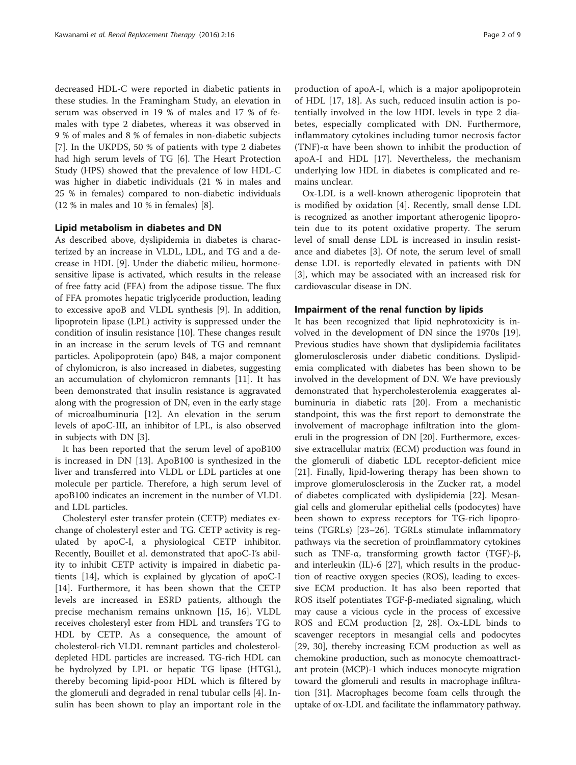decreased HDL-C were reported in diabetic patients in these studies. In the Framingham Study, an elevation in serum was observed in 19 % of males and 17 % of females with type 2 diabetes, whereas it was observed in 9 % of males and 8 % of females in non-diabetic subjects [[7\]](#page-6-0). In the UKPDS, 50 % of patients with type 2 diabetes had high serum levels of TG [\[6](#page-6-0)]. The Heart Protection Study (HPS) showed that the prevalence of low HDL-C was higher in diabetic individuals (21 % in males and 25 % in females) compared to non-diabetic individuals (12 % in males and 10 % in females) [[8\]](#page-7-0).

#### Lipid metabolism in diabetes and DN

As described above, dyslipidemia in diabetes is characterized by an increase in VLDL, LDL, and TG and a decrease in HDL [[9\]](#page-7-0). Under the diabetic milieu, hormonesensitive lipase is activated, which results in the release of free fatty acid (FFA) from the adipose tissue. The flux of FFA promotes hepatic triglyceride production, leading to excessive apoB and VLDL synthesis [\[9](#page-7-0)]. In addition, lipoprotein lipase (LPL) activity is suppressed under the condition of insulin resistance [[10](#page-7-0)]. These changes result in an increase in the serum levels of TG and remnant particles. Apolipoprotein (apo) B48, a major component of chylomicron, is also increased in diabetes, suggesting an accumulation of chylomicron remnants [[11\]](#page-7-0). It has been demonstrated that insulin resistance is aggravated along with the progression of DN, even in the early stage of microalbuminuria [\[12](#page-7-0)]. An elevation in the serum levels of apoC-III, an inhibitor of LPL, is also observed in subjects with DN [[3\]](#page-6-0).

It has been reported that the serum level of apoB100 is increased in DN [\[13](#page-7-0)]. ApoB100 is synthesized in the liver and transferred into VLDL or LDL particles at one molecule per particle. Therefore, a high serum level of apoB100 indicates an increment in the number of VLDL and LDL particles.

Cholesteryl ester transfer protein (CETP) mediates exchange of cholesteryl ester and TG. CETP activity is regulated by apoC-I, a physiological CETP inhibitor. Recently, Bouillet et al. demonstrated that apoC-I's ability to inhibit CETP activity is impaired in diabetic patients [[14](#page-7-0)], which is explained by glycation of apoC-I [[14\]](#page-7-0). Furthermore, it has been shown that the CETP levels are increased in ESRD patients, although the precise mechanism remains unknown [[15](#page-7-0), [16\]](#page-7-0). VLDL receives cholesteryl ester from HDL and transfers TG to HDL by CETP. As a consequence, the amount of cholesterol-rich VLDL remnant particles and cholesteroldepleted HDL particles are increased. TG-rich HDL can be hydrolyzed by LPL or hepatic TG lipase (HTGL), thereby becoming lipid-poor HDL which is filtered by the glomeruli and degraded in renal tubular cells [[4\]](#page-6-0). Insulin has been shown to play an important role in the production of apoA-I, which is a major apolipoprotein of HDL [\[17](#page-7-0), [18](#page-7-0)]. As such, reduced insulin action is potentially involved in the low HDL levels in type 2 diabetes, especially complicated with DN. Furthermore, inflammatory cytokines including tumor necrosis factor (TNF)- $\alpha$  have been shown to inhibit the production of apoA-I and HDL [[17\]](#page-7-0). Nevertheless, the mechanism underlying low HDL in diabetes is complicated and remains unclear.

Ox-LDL is a well-known atherogenic lipoprotein that is modified by oxidation [\[4](#page-6-0)]. Recently, small dense LDL is recognized as another important atherogenic lipoprotein due to its potent oxidative property. The serum level of small dense LDL is increased in insulin resistance and diabetes [[3\]](#page-6-0). Of note, the serum level of small dense LDL is reportedly elevated in patients with DN [[3\]](#page-6-0), which may be associated with an increased risk for cardiovascular disease in DN.

#### Impairment of the renal function by lipids

It has been recognized that lipid nephrotoxicity is involved in the development of DN since the 1970s [\[19](#page-7-0)]. Previous studies have shown that dyslipidemia facilitates glomerulosclerosis under diabetic conditions. Dyslipidemia complicated with diabetes has been shown to be involved in the development of DN. We have previously demonstrated that hypercholesterolemia exaggerates albuminuria in diabetic rats [[20\]](#page-7-0). From a mechanistic standpoint, this was the first report to demonstrate the involvement of macrophage infiltration into the glomeruli in the progression of DN [\[20](#page-7-0)]. Furthermore, excessive extracellular matrix (ECM) production was found in the glomeruli of diabetic LDL receptor-deficient mice [[21\]](#page-7-0). Finally, lipid-lowering therapy has been shown to improve glomerulosclerosis in the Zucker rat, a model of diabetes complicated with dyslipidemia [[22](#page-7-0)]. Mesangial cells and glomerular epithelial cells (podocytes) have been shown to express receptors for TG-rich lipoproteins (TGRLs) [\[23](#page-7-0)–[26\]](#page-7-0). TGRLs stimulate inflammatory pathways via the secretion of proinflammatory cytokines such as TNF-α, transforming growth factor (TGF)-β, and interleukin (IL)-6 [\[27](#page-7-0)], which results in the production of reactive oxygen species (ROS), leading to excessive ECM production. It has also been reported that ROS itself potentiates TGF-β-mediated signaling, which may cause a vicious cycle in the process of excessive ROS and ECM production [[2,](#page-6-0) [28](#page-7-0)]. Ox-LDL binds to scavenger receptors in mesangial cells and podocytes [[29, 30\]](#page-7-0), thereby increasing ECM production as well as chemokine production, such as monocyte chemoattractant protein (MCP)-1 which induces monocyte migration toward the glomeruli and results in macrophage infiltration [\[31](#page-7-0)]. Macrophages become foam cells through the uptake of ox-LDL and facilitate the inflammatory pathway.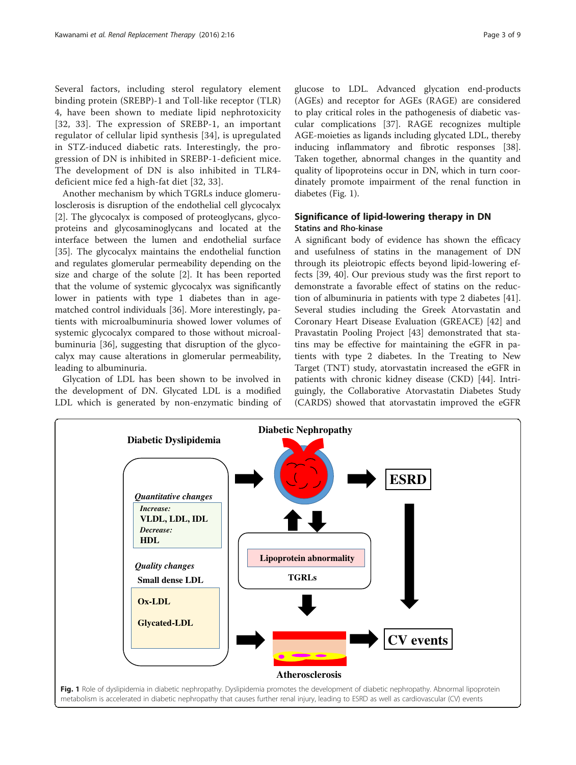Several factors, including sterol regulatory element binding protein (SREBP)-1 and Toll-like receptor (TLR) 4, have been shown to mediate lipid nephrotoxicity [[32](#page-7-0), [33](#page-7-0)]. The expression of SREBP-1, an important regulator of cellular lipid synthesis [\[34\]](#page-7-0), is upregulated in STZ-induced diabetic rats. Interestingly, the progression of DN is inhibited in SREBP-1-deficient mice. The development of DN is also inhibited in TLR4 deficient mice fed a high-fat diet [[32](#page-7-0), [33](#page-7-0)].

Another mechanism by which TGRLs induce glomerulosclerosis is disruption of the endothelial cell glycocalyx [[2\]](#page-6-0). The glycocalyx is composed of proteoglycans, glycoproteins and glycosaminoglycans and located at the interface between the lumen and endothelial surface [[35\]](#page-7-0). The glycocalyx maintains the endothelial function and regulates glomerular permeability depending on the size and charge of the solute [\[2](#page-6-0)]. It has been reported that the volume of systemic glycocalyx was significantly lower in patients with type 1 diabetes than in agematched control individuals [[36\]](#page-7-0). More interestingly, patients with microalbuminuria showed lower volumes of systemic glycocalyx compared to those without microalbuminuria [\[36](#page-7-0)], suggesting that disruption of the glycocalyx may cause alterations in glomerular permeability, leading to albuminuria.

Glycation of LDL has been shown to be involved in the development of DN. Glycated LDL is a modified LDL which is generated by non-enzymatic binding of AGE-moieties as ligands including glycated LDL, thereby inducing inflammatory and fibrotic responses [\[38](#page-7-0)]. Taken together, abnormal changes in the quantity and quality of lipoproteins occur in DN, which in turn coordinately promote impairment of the renal function in diabetes (Fig. 1).

## Significance of lipid-lowering therapy in DN Statins and Rho-kinase

A significant body of evidence has shown the efficacy and usefulness of statins in the management of DN through its pleiotropic effects beyond lipid-lowering effects [\[39, 40](#page-7-0)]. Our previous study was the first report to demonstrate a favorable effect of statins on the reduction of albuminuria in patients with type 2 diabetes [\[41](#page-7-0)]. Several studies including the Greek Atorvastatin and Coronary Heart Disease Evaluation (GREACE) [[42](#page-7-0)] and Pravastatin Pooling Project [[43](#page-7-0)] demonstrated that statins may be effective for maintaining the eGFR in patients with type 2 diabetes. In the Treating to New Target (TNT) study, atorvastatin increased the eGFR in patients with chronic kidney disease (CKD) [\[44](#page-7-0)]. Intriguingly, the Collaborative Atorvastatin Diabetes Study (CARDS) showed that atorvastatin improved the eGFR

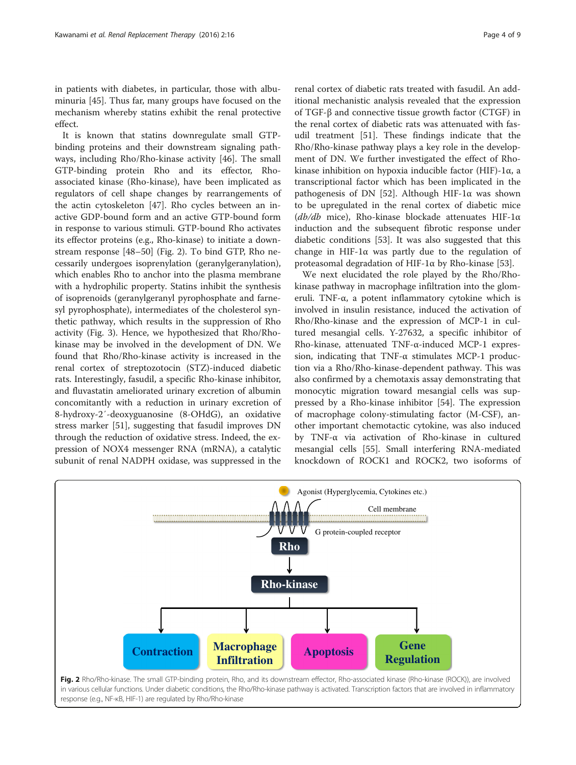in patients with diabetes, in particular, those with albuminuria [[45\]](#page-7-0). Thus far, many groups have focused on the mechanism whereby statins exhibit the renal protective effect.

It is known that statins downregulate small GTPbinding proteins and their downstream signaling pathways, including Rho/Rho-kinase activity [\[46\]](#page-7-0). The small GTP-binding protein Rho and its effector, Rhoassociated kinase (Rho-kinase), have been implicated as regulators of cell shape changes by rearrangements of the actin cytoskeleton [\[47\]](#page-7-0). Rho cycles between an inactive GDP-bound form and an active GTP-bound form in response to various stimuli. GTP-bound Rho activates its effector proteins (e.g., Rho-kinase) to initiate a downstream response [\[48](#page-7-0)–[50\]](#page-7-0) (Fig. 2). To bind GTP, Rho necessarily undergoes isoprenylation (geranylgeranylation), which enables Rho to anchor into the plasma membrane with a hydrophilic property. Statins inhibit the synthesis of isoprenoids (geranylgeranyl pyrophosphate and farnesyl pyrophosphate), intermediates of the cholesterol synthetic pathway, which results in the suppression of Rho activity (Fig. [3](#page-4-0)). Hence, we hypothesized that Rho/Rhokinase may be involved in the development of DN. We found that Rho/Rho-kinase activity is increased in the renal cortex of streptozotocin (STZ)-induced diabetic rats. Interestingly, fasudil, a specific Rho-kinase inhibitor, and fluvastatin ameliorated urinary excretion of albumin concomitantly with a reduction in urinary excretion of 8-hydroxy-2′-deoxyguanosine (8-OHdG), an oxidative stress marker [\[51](#page-8-0)], suggesting that fasudil improves DN through the reduction of oxidative stress. Indeed, the expression of NOX4 messenger RNA (mRNA), a catalytic subunit of renal NADPH oxidase, was suppressed in the

renal cortex of diabetic rats treated with fasudil. An additional mechanistic analysis revealed that the expression of TGF-β and connective tissue growth factor (CTGF) in the renal cortex of diabetic rats was attenuated with fasudil treatment [[51](#page-8-0)]. These findings indicate that the Rho/Rho-kinase pathway plays a key role in the development of DN. We further investigated the effect of Rhokinase inhibition on hypoxia inducible factor (HIF)-1α, a transcriptional factor which has been implicated in the pathogenesis of DN [[52\]](#page-8-0). Although HIF-1α was shown to be upregulated in the renal cortex of diabetic mice (db/db mice), Rho-kinase blockade attenuates HIF-1α induction and the subsequent fibrotic response under diabetic conditions [[53\]](#page-8-0). It was also suggested that this change in HIF-1 $\alpha$  was partly due to the regulation of proteasomal degradation of HIF-1α by Rho-kinase [[53\]](#page-8-0).

We next elucidated the role played by the Rho/Rhokinase pathway in macrophage infiltration into the glomeruli. TNF-α, a potent inflammatory cytokine which is involved in insulin resistance, induced the activation of Rho/Rho-kinase and the expression of MCP-1 in cultured mesangial cells. Y-27632, a specific inhibitor of Rho-kinase, attenuated TNF-α-induced MCP-1 expression, indicating that TNF-α stimulates MCP-1 production via a Rho/Rho-kinase-dependent pathway. This was also confirmed by a chemotaxis assay demonstrating that monocytic migration toward mesangial cells was suppressed by a Rho-kinase inhibitor [\[54](#page-8-0)]. The expression of macrophage colony-stimulating factor (M-CSF), another important chemotactic cytokine, was also induced by TNF-α via activation of Rho-kinase in cultured mesangial cells [\[55\]](#page-8-0). Small interfering RNA-mediated knockdown of ROCK1 and ROCK2, two isoforms of



in various cellular functions. Under diabetic conditions, the Rho/Rho-kinase pathway is activated. Transcription factors that are involved in inflammatory response (e.g., NF-κB, HIF-1) are regulated by Rho/Rho-kinase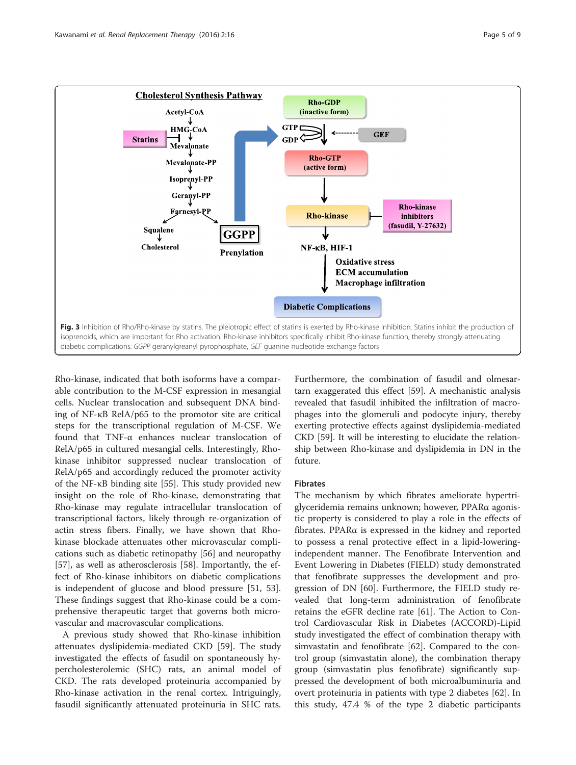<span id="page-4-0"></span>

Rho-kinase, indicated that both isoforms have a comparable contribution to the M-CSF expression in mesangial cells. Nuclear translocation and subsequent DNA binding of NF-κB RelA/p65 to the promotor site are critical steps for the transcriptional regulation of M-CSF. We found that TNF-α enhances nuclear translocation of RelA/p65 in cultured mesangial cells. Interestingly, Rhokinase inhibitor suppressed nuclear translocation of RelA/p65 and accordingly reduced the promoter activity of the NF-κB binding site [\[55](#page-8-0)]. This study provided new insight on the role of Rho-kinase, demonstrating that Rho-kinase may regulate intracellular translocation of transcriptional factors, likely through re-organization of actin stress fibers. Finally, we have shown that Rhokinase blockade attenuates other microvascular complications such as diabetic retinopathy [[56\]](#page-8-0) and neuropathy [[57\]](#page-8-0), as well as atherosclerosis [[58\]](#page-8-0). Importantly, the effect of Rho-kinase inhibitors on diabetic complications is independent of glucose and blood pressure [[51, 53](#page-8-0)]. These findings suggest that Rho-kinase could be a comprehensive therapeutic target that governs both microvascular and macrovascular complications.

A previous study showed that Rho-kinase inhibition attenuates dyslipidemia-mediated CKD [\[59\]](#page-8-0). The study investigated the effects of fasudil on spontaneously hypercholesterolemic (SHC) rats, an animal model of CKD. The rats developed proteinuria accompanied by Rho-kinase activation in the renal cortex. Intriguingly, fasudil significantly attenuated proteinuria in SHC rats.

Furthermore, the combination of fasudil and olmesartarn exaggerated this effect [\[59\]](#page-8-0). A mechanistic analysis revealed that fasudil inhibited the infiltration of macrophages into the glomeruli and podocyte injury, thereby exerting protective effects against dyslipidemia-mediated CKD [\[59](#page-8-0)]. It will be interesting to elucidate the relationship between Rho-kinase and dyslipidemia in DN in the future.

#### Fibrates

The mechanism by which fibrates ameliorate hypertriglyceridemia remains unknown; however, PPARα agonistic property is considered to play a role in the effects of fibrates. PPARα is expressed in the kidney and reported to possess a renal protective effect in a lipid-loweringindependent manner. The Fenofibrate Intervention and Event Lowering in Diabetes (FIELD) study demonstrated that fenofibrate suppresses the development and progression of DN [\[60\]](#page-8-0). Furthermore, the FIELD study revealed that long-term administration of fenofibrate retains the eGFR decline rate [\[61\]](#page-8-0). The Action to Control Cardiovascular Risk in Diabetes (ACCORD)-Lipid study investigated the effect of combination therapy with simvastatin and fenofibrate [[62\]](#page-8-0). Compared to the control group (simvastatin alone), the combination therapy group (simvastatin plus fenofibrate) significantly suppressed the development of both microalbuminuria and overt proteinuria in patients with type 2 diabetes [[62\]](#page-8-0). In this study, 47.4 % of the type 2 diabetic participants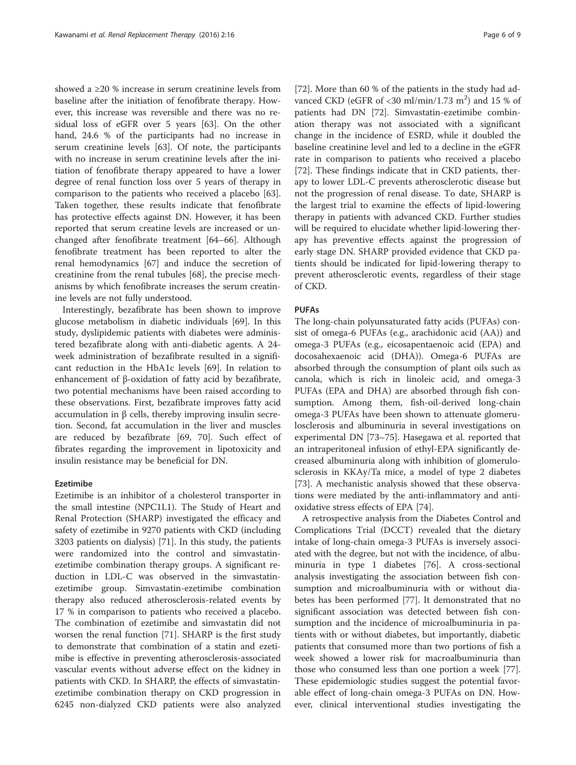showed a ≥20 % increase in serum creatinine levels from baseline after the initiation of fenofibrate therapy. However, this increase was reversible and there was no residual loss of eGFR over 5 years [\[63](#page-8-0)]. On the other hand, 24.6 % of the participants had no increase in serum creatinine levels [\[63](#page-8-0)]. Of note, the participants with no increase in serum creatinine levels after the initiation of fenofibrate therapy appeared to have a lower degree of renal function loss over 5 years of therapy in comparison to the patients who received a placebo [\[63](#page-8-0)]. Taken together, these results indicate that fenofibrate has protective effects against DN. However, it has been reported that serum creatine levels are increased or unchanged after fenofibrate treatment [\[64](#page-8-0)–[66\]](#page-8-0). Although fenofibrate treatment has been reported to alter the renal hemodynamics [[67\]](#page-8-0) and induce the secretion of creatinine from the renal tubules [[68](#page-8-0)], the precise mechanisms by which fenofibrate increases the serum creatinine levels are not fully understood.

Interestingly, bezafibrate has been shown to improve glucose metabolism in diabetic individuals [\[69](#page-8-0)]. In this study, dyslipidemic patients with diabetes were administered bezafibrate along with anti-diabetic agents. A 24 week administration of bezafibrate resulted in a significant reduction in the HbA1c levels [\[69](#page-8-0)]. In relation to enhancement of β-oxidation of fatty acid by bezafibrate, two potential mechanisms have been raised according to these observations. First, bezafibrate improves fatty acid accumulation in β cells, thereby improving insulin secretion. Second, fat accumulation in the liver and muscles are reduced by bezafibrate [\[69, 70\]](#page-8-0). Such effect of fibrates regarding the improvement in lipotoxicity and insulin resistance may be beneficial for DN.

#### Ezetimibe

Ezetimibe is an inhibitor of a cholesterol transporter in the small intestine (NPC1L1). The Study of Heart and Renal Protection (SHARP) investigated the efficacy and safety of ezetimibe in 9270 patients with CKD (including 3203 patients on dialysis) [\[71\]](#page-8-0). In this study, the patients were randomized into the control and simvastatinezetimibe combination therapy groups. A significant reduction in LDL-C was observed in the simvastatinezetimibe group. Simvastatin-ezetimibe combination therapy also reduced atherosclerosis-related events by 17 % in comparison to patients who received a placebo. The combination of ezetimibe and simvastatin did not worsen the renal function [\[71\]](#page-8-0). SHARP is the first study to demonstrate that combination of a statin and ezetimibe is effective in preventing atherosclerosis-associated vascular events without adverse effect on the kidney in patients with CKD. In SHARP, the effects of simvastatinezetimibe combination therapy on CKD progression in 6245 non-dialyzed CKD patients were also analyzed

[[72\]](#page-8-0). More than 60 % of the patients in the study had advanced CKD (eGFR of <30 ml/min/1.73 m<sup>2</sup>) and 15 % of patients had DN [\[72](#page-8-0)]. Simvastatin-ezetimibe combination therapy was not associated with a significant change in the incidence of ESRD, while it doubled the baseline creatinine level and led to a decline in the eGFR rate in comparison to patients who received a placebo [[72\]](#page-8-0). These findings indicate that in CKD patients, therapy to lower LDL-C prevents atherosclerotic disease but not the progression of renal disease. To date, SHARP is the largest trial to examine the effects of lipid-lowering therapy in patients with advanced CKD. Further studies will be required to elucidate whether lipid-lowering therapy has preventive effects against the progression of early stage DN. SHARP provided evidence that CKD patients should be indicated for lipid-lowering therapy to prevent atherosclerotic events, regardless of their stage of CKD.

#### PUFAs

The long-chain polyunsaturated fatty acids (PUFAs) consist of omega-6 PUFAs (e.g., arachidonic acid (AA)) and omega-3 PUFAs (e.g., eicosapentaenoic acid (EPA) and docosahexaenoic acid (DHA)). Omega-6 PUFAs are absorbed through the consumption of plant oils such as canola, which is rich in linoleic acid, and omega-3 PUFAs (EPA and DHA) are absorbed through fish consumption. Among them, fish-oil-derived long-chain omega-3 PUFAs have been shown to attenuate glomerulosclerosis and albuminuria in several investigations on experimental DN [[73](#page-8-0)–[75](#page-8-0)]. Hasegawa et al. reported that an intraperitoneal infusion of ethyl-EPA significantly decreased albuminuria along with inhibition of glomerulosclerosis in KKAy/Ta mice, a model of type 2 diabetes [[73\]](#page-8-0). A mechanistic analysis showed that these observations were mediated by the anti-inflammatory and antioxidative stress effects of EPA [\[74](#page-8-0)].

A retrospective analysis from the Diabetes Control and Complications Trial (DCCT) revealed that the dietary intake of long-chain omega-3 PUFAs is inversely associated with the degree, but not with the incidence, of albuminuria in type 1 diabetes [\[76\]](#page-8-0). A cross-sectional analysis investigating the association between fish consumption and microalbuminuria with or without diabetes has been performed [\[77](#page-8-0)]. It demonstrated that no significant association was detected between fish consumption and the incidence of microalbuminuria in patients with or without diabetes, but importantly, diabetic patients that consumed more than two portions of fish a week showed a lower risk for macroalbuminuria than those who consumed less than one portion a week [\[77](#page-8-0)]. These epidemiologic studies suggest the potential favorable effect of long-chain omega-3 PUFAs on DN. However, clinical interventional studies investigating the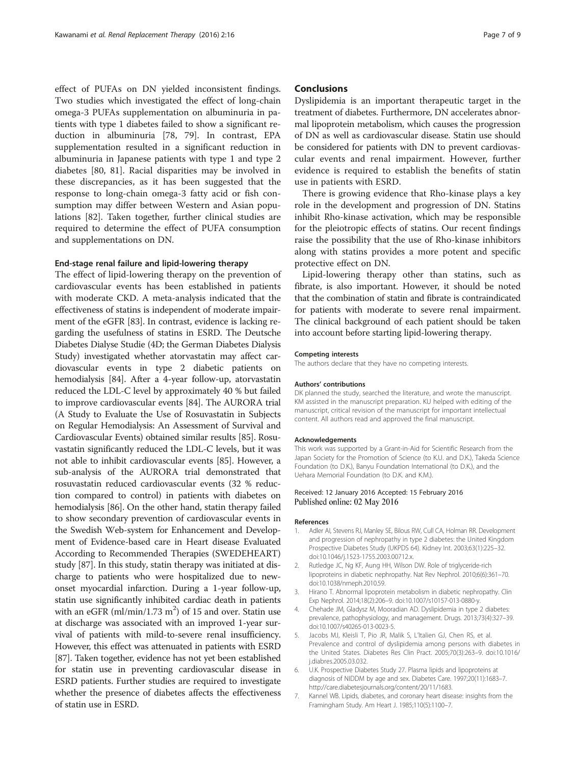<span id="page-6-0"></span>effect of PUFAs on DN yielded inconsistent findings. Two studies which investigated the effect of long-chain omega-3 PUFAs supplementation on albuminuria in patients with type 1 diabetes failed to show a significant reduction in albuminuria [\[78](#page-8-0), [79\]](#page-8-0). In contrast, EPA supplementation resulted in a significant reduction in albuminuria in Japanese patients with type 1 and type 2 diabetes [\[80](#page-8-0), [81\]](#page-8-0). Racial disparities may be involved in these discrepancies, as it has been suggested that the response to long-chain omega-3 fatty acid or fish consumption may differ between Western and Asian populations [\[82](#page-8-0)]. Taken together, further clinical studies are required to determine the effect of PUFA consumption and supplementations on DN.

### End-stage renal failure and lipid-lowering therapy

The effect of lipid-lowering therapy on the prevention of cardiovascular events has been established in patients with moderate CKD. A meta-analysis indicated that the effectiveness of statins is independent of moderate impairment of the eGFR [[83\]](#page-8-0). In contrast, evidence is lacking regarding the usefulness of statins in ESRD. The Deutsche Diabetes Dialyse Studie (4D; the German Diabetes Dialysis Study) investigated whether atorvastatin may affect cardiovascular events in type 2 diabetic patients on hemodialysis [[84](#page-8-0)]. After a 4-year follow-up, atorvastatin reduced the LDL-C level by approximately 40 % but failed to improve cardiovascular events [\[84\]](#page-8-0). The AURORA trial (A Study to Evaluate the Use of Rosuvastatin in Subjects on Regular Hemodialysis: An Assessment of Survival and Cardiovascular Events) obtained similar results [[85](#page-8-0)]. Rosuvastatin significantly reduced the LDL-C levels, but it was not able to inhibit cardiovascular events [\[85\]](#page-8-0). However, a sub-analysis of the AURORA trial demonstrated that rosuvastatin reduced cardiovascular events (32 % reduction compared to control) in patients with diabetes on hemodialysis [[86](#page-8-0)]. On the other hand, statin therapy failed to show secondary prevention of cardiovascular events in the Swedish Web-system for Enhancement and Development of Evidence-based care in Heart disease Evaluated According to Recommended Therapies (SWEDEHEART) study [[87](#page-8-0)]. In this study, statin therapy was initiated at discharge to patients who were hospitalized due to newonset myocardial infarction. During a 1-year follow-up, statin use significantly inhibited cardiac death in patients with an eGFR (ml/min/1.73  $m<sup>2</sup>$ ) of 15 and over. Statin use at discharge was associated with an improved 1-year survival of patients with mild-to-severe renal insufficiency. However, this effect was attenuated in patients with ESRD [[87](#page-8-0)]. Taken together, evidence has not yet been established for statin use in preventing cardiovascular disease in ESRD patients. Further studies are required to investigate whether the presence of diabetes affects the effectiveness of statin use in ESRD.

#### **Conclusions**

Dyslipidemia is an important therapeutic target in the treatment of diabetes. Furthermore, DN accelerates abnormal lipoprotein metabolism, which causes the progression of DN as well as cardiovascular disease. Statin use should be considered for patients with DN to prevent cardiovascular events and renal impairment. However, further evidence is required to establish the benefits of statin use in patients with ESRD.

There is growing evidence that Rho-kinase plays a key role in the development and progression of DN. Statins inhibit Rho-kinase activation, which may be responsible for the pleiotropic effects of statins. Our recent findings raise the possibility that the use of Rho-kinase inhibitors along with statins provides a more potent and specific protective effect on DN.

Lipid-lowering therapy other than statins, such as fibrate, is also important. However, it should be noted that the combination of statin and fibrate is contraindicated for patients with moderate to severe renal impairment. The clinical background of each patient should be taken into account before starting lipid-lowering therapy.

#### Competing interests

The authors declare that they have no competing interests.

#### Authors' contributions

DK planned the study, searched the literature, and wrote the manuscript. KM assisted in the manuscript preparation. KU helped with editing of the manuscript, critical revision of the manuscript for important intellectual content. All authors read and approved the final manuscript.

#### Acknowledgements

This work was supported by a Grant-in-Aid for Scientific Research from the Japan Society for the Promotion of Science (to K.U. and D.K.), Takeda Science Foundation (to D.K.), Banyu Foundation International (to D.K.), and the Uehara Memorial Foundation (to D.K. and K.M.).

#### Received: 12 January 2016 Accepted: 15 February 2016 Published online: 02 May 2016

#### References

- 1. Adler AI, Stevens RJ, Manley SE, Bilous RW, Cull CA, Holman RR. Development and progression of nephropathy in type 2 diabetes: the United Kingdom Prospective Diabetes Study (UKPDS 64). Kidney Int. 2003;63(1):225–32. doi[:10.1046/j.1523-1755.2003.00712.x.](http://dx.doi.org/10.1046/j.1523-1755.2003.00712.x)
- Rutledge JC, Ng KF, Aung HH, Wilson DW. Role of triglyceride-rich lipoproteins in diabetic nephropathy. Nat Rev Nephrol. 2010;6(6):361–70. doi[:10.1038/nrneph.2010.59.](http://dx.doi.org/10.1038/nrneph.2010.59)
- 3. Hirano T. Abnormal lipoprotein metabolism in diabetic nephropathy. Clin Exp Nephrol. 2014;18(2):206–9. doi[:10.1007/s10157-013-0880-y](http://dx.doi.org/10.1007/s10157-013-0880-y).
- 4. Chehade JM, Gladysz M, Mooradian AD. Dyslipidemia in type 2 diabetes: prevalence, pathophysiology, and management. Drugs. 2013;73(4):327–39. doi[:10.1007/s40265-013-0023-5](http://dx.doi.org/10.1007/s40265-013-0023-5).
- 5. Jacobs MJ, Kleisli T, Pio JR, Malik S, L'Italien GJ, Chen RS, et al. Prevalence and control of dyslipidemia among persons with diabetes in the United States. Diabetes Res Clin Pract. 2005;70(3):263–9. doi[:10.1016/](http://dx.doi.org/10.1016/j.diabres.2005.03.032) [j.diabres.2005.03.032](http://dx.doi.org/10.1016/j.diabres.2005.03.032).
- 6. U.K. Prospective Diabetes Study 27. Plasma lipids and lipoproteins at diagnosis of NIDDM by age and sex. Diabetes Care. 1997;20(11):1683–7. [http://care.diabetesjournals.org/content/20/11/1683.](http://care.diabetesjournals.org/content/20/11/1683)
- 7. Kannel WB. Lipids, diabetes, and coronary heart disease: insights from the Framingham Study. Am Heart J. 1985;110(5):1100–7.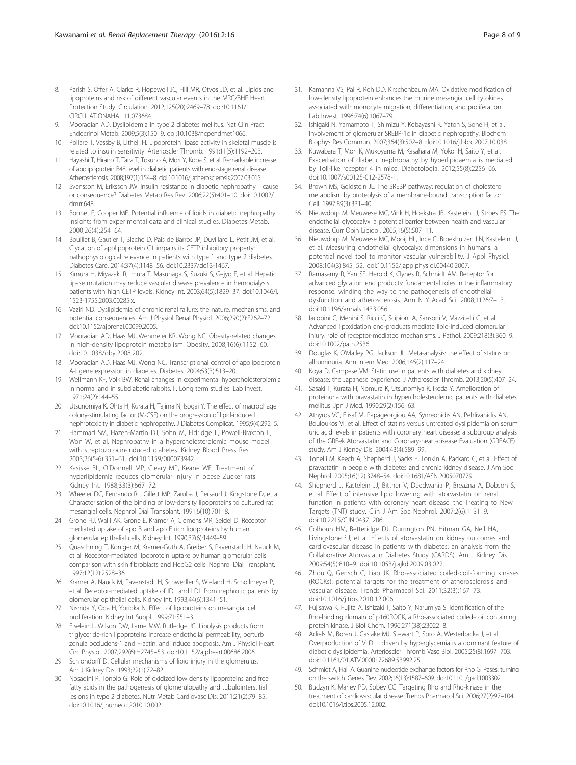- <span id="page-7-0"></span>8. Parish S, Offer A, Clarke R, Hopewell JC, Hill MR, Otvos JD, et al. Lipids and lipoproteins and risk of different vascular events in the MRC/BHF Heart Protection Study. Circulation. 2012;125(20):2469–78. doi:[10.1161/](http://dx.doi.org/10.1161/CIRCULATIONAHA.111.073684) [CIRCULATIONAHA.111.073684](http://dx.doi.org/10.1161/CIRCULATIONAHA.111.073684).
- 9. Mooradian AD. Dyslipidemia in type 2 diabetes mellitus. Nat Clin Pract Endocrinol Metab. 2009;5(3):150–9. doi[:10.1038/ncpendmet1066.](http://dx.doi.org/10.1038/ncpendmet1066)
- 10. Pollare T, Vessby B, Lithell H. Lipoprotein lipase activity in skeletal muscle is related to insulin sensitivity. Arterioscler Thromb. 1991;11(5):1192–203.
- 11. Hayashi T, Hirano T, Taira T, Tokuno A, Mori Y, Koba S, et al. Remarkable increase of apolipoprotein B48 level in diabetic patients with end-stage renal disease. Atherosclerosis. 2008;197(1):154–8. doi[:10.1016/j.atherosclerosis.2007.03.015.](http://dx.doi.org/10.1016/j.atherosclerosis.2007.03.015)
- 12. Svensson M, Eriksson JW. Insulin resistance in diabetic nephropathy—cause or consequence? Diabetes Metab Res Rev. 2006;22(5):401–10. doi:[10.1002/](http://dx.doi.org/10.1002/dmrr.648) [dmrr.648.](http://dx.doi.org/10.1002/dmrr.648)
- 13. Bonnet F, Cooper ME. Potential influence of lipids in diabetic nephropathy: insights from experimental data and clinical studies. Diabetes Metab. 2000;26(4):254–64.
- 14. Bouillet B, Gautier T, Blache D, Pais de Barros JP, Duvillard L, Petit JM, et al. Glycation of apolipoprotein C1 impairs its CETP inhibitory property: pathophysiological relevance in patients with type 1 and type 2 diabetes. Diabetes Care. 2014;37(4):1148–56. doi[:10.2337/dc13-1467.](http://dx.doi.org/10.2337/dc13-1467)
- 15. Kimura H, Miyazaki R, Imura T, Masunaga S, Suzuki S, Gejyo F, et al. Hepatic lipase mutation may reduce vascular disease prevalence in hemodialysis patients with high CETP levels. Kidney Int. 2003;64(5):1829–37. doi:[10.1046/j.](http://dx.doi.org/10.1046/j.1523-1755.2003.00285.x) [1523-1755.2003.00285.x](http://dx.doi.org/10.1046/j.1523-1755.2003.00285.x).
- 16. Vaziri ND. Dyslipidemia of chronic renal failure: the nature, mechanisms, and potential consequences. Am J Physiol Renal Physiol. 2006;290(2):F262–72. doi[:10.1152/ajprenal.00099.2005.](http://dx.doi.org/10.1152/ajprenal.00099.2005)
- 17. Mooradian AD, Haas MJ, Wehmeier KR, Wong NC. Obesity-related changes in high-density lipoprotein metabolism. Obesity. 2008;16(6):1152–60. doi:[10.1038/oby.2008.202.](http://dx.doi.org/10.1038/oby.2008.202)
- 18. Mooradian AD, Haas MJ, Wong NC. Transcriptional control of apolipoprotein A-I gene expression in diabetes. Diabetes. 2004;53(3):513–20.
- 19. Wellmann KF, Volk BW. Renal changes in experimental hypercholesterolemia in normal and in subdiabetic rabbits. II. Long term studies. Lab Invest. 1971;24(2):144–55.
- 20. Utsunomiya K, Ohta H, Kurata H, Tajima N, Isogai Y. The effect of macrophage colony-stimulating factor (M-CSF) on the progression of lipid-induced nephrotoxicity in diabetic nephropathy. J Diabetes Complicat. 1995;9(4):292–5.
- 21. Hammad SM, Hazen-Martin DJ, Sohn M, Eldridge L, Powell-Braxton L, Won W, et al. Nephropathy in a hypercholesterolemic mouse model with streptozotocin-induced diabetes. Kidney Blood Press Res. 2003;26(5-6):351–61. doi[:10.1159/000073942.](http://dx.doi.org/10.1159/000073942)
- 22. Kasiske BL, O'Donnell MP, Cleary MP, Keane WF. Treatment of hyperlipidemia reduces glomerular injury in obese Zucker rats. Kidney Int. 1988;33(3):667–72.
- 23. Wheeler DC, Fernando RL, Gillett MP, Zaruba J, Persaud J, Kingstone D, et al. Characterisation of the binding of low-density lipoproteins to cultured rat mesangial cells. Nephrol Dial Transplant. 1991;6(10):701–8.
- 24. Grone HJ, Walli AK, Grone E, Kramer A, Clemens MR, Seidel D. Receptor mediated uptake of apo B and apo E rich lipoproteins by human glomerular epithelial cells. Kidney Int. 1990;37(6):1449–59.
- 25. Quaschning T, Koniger M, Kramer-Guth A, Greiber S, Pavenstadt H, Nauck M, et al. Receptor-mediated lipoprotein uptake by human glomerular cells: comparison with skin fibroblasts and HepG2 cells. Nephrol Dial Transplant. 1997;12(12):2528–36.
- 26. Kramer A, Nauck M, Pavenstadt H, Schwedler S, Wieland H, Schollmeyer P, et al. Receptor-mediated uptake of IDL and LDL from nephrotic patients by glomerular epithelial cells. Kidney Int. 1993;44(6):1341–51.
- 27. Nishida Y, Oda H, Yorioka N. Effect of lipoproteins on mesangial cell proliferation. Kidney Int Suppl. 1999;71:S51–3.
- 28. Eiselein L, Wilson DW, Lame MW, Rutledge JC. Lipolysis products from triglyceride-rich lipoproteins increase endothelial permeability, perturb zonula occludens-1 and F-actin, and induce apoptosis. Am J Physiol Heart Circ Physiol. 2007;292(6):H2745–53. doi[:10.1152/ajpheart.00686.2006.](http://dx.doi.org/10.1152/ajpheart.00686.2006)
- 29. Schlondorff D. Cellular mechanisms of lipid injury in the glomerulus. Am J Kidney Dis. 1993;22(1):72–82.
- 30. Nosadini R, Tonolo G. Role of oxidized low density lipoproteins and free fatty acids in the pathogenesis of glomerulopathy and tubulointerstitial lesions in type 2 diabetes. Nutr Metab Cardiovasc Dis. 2011;21(2):79–85. doi[:10.1016/j.numecd.2010.10.002.](http://dx.doi.org/10.1016/j.numecd.2010.10.002)
- 31. Kamanna VS, Pai R, Roh DD, Kirschenbaum MA. Oxidative modification of low-density lipoprotein enhances the murine mesangial cell cytokines associated with monocyte migration, differentiation, and proliferation. Lab Invest. 1996;74(6):1067–79.
- 32. Ishigaki N, Yamamoto T, Shimizu Y, Kobayashi K, Yatoh S, Sone H, et al. Involvement of glomerular SREBP-1c in diabetic nephropathy. Biochem Biophys Res Commun. 2007;364(3):502–8. doi[:10.1016/j.bbrc.2007.10.038](http://dx.doi.org/10.1016/j.bbrc.2007.10.038).
- 33. Kuwabara T, Mori K, Mukoyama M, Kasahara M, Yokoi H, Saito Y, et al. Exacerbation of diabetic nephropathy by hyperlipidaemia is mediated by Toll-like receptor 4 in mice. Diabetologia. 2012;55(8):2256–66. doi[:10.1007/s00125-012-2578-1.](http://dx.doi.org/10.1007/s00125-012-2578-1)
- 34. Brown MS, Goldstein JL. The SREBP pathway: regulation of cholesterol metabolism by proteolysis of a membrane-bound transcription factor. Cell. 1997;89(3):331–40.
- 35. Nieuwdorp M, Meuwese MC, Vink H, Hoekstra JB, Kastelein JJ, Stroes ES. The endothelial glycocalyx: a potential barrier between health and vascular disease. Curr Opin Lipidol. 2005;16(5):507–11.
- 36. Nieuwdorp M, Meuwese MC, Mooij HL, Ince C, Broekhuizen LN, Kastelein JJ, et al. Measuring endothelial glycocalyx dimensions in humans: a potential novel tool to monitor vascular vulnerability. J Appl Physiol. 2008;104(3):845–52. doi:[10.1152/japplphysiol.00440.2007](http://dx.doi.org/10.1152/japplphysiol.00440.2007).
- 37. Ramasamy R, Yan SF, Herold K, Clynes R, Schmidt AM. Receptor for advanced glycation end products: fundamental roles in the inflammatory response: winding the way to the pathogenesis of endothelial dysfunction and atherosclerosis. Ann N Y Acad Sci. 2008;1126:7–13. doi[:10.1196/annals.1433.056.](http://dx.doi.org/10.1196/annals.1433.056)
- 38. Iacobini C, Menini S, Ricci C, Scipioni A, Sansoni V, Mazzitelli G, et al. Advanced lipoxidation end-products mediate lipid-induced glomerular injury: role of receptor-mediated mechanisms. J Pathol. 2009;218(3):360–9. doi[:10.1002/path.2536.](http://dx.doi.org/10.1002/path.2536)
- 39. Douglas K, O'Malley PG, Jackson JL. Meta-analysis: the effect of statins on albuminuria. Ann Intern Med. 2006;145(2):117–24.
- 40. Koya D, Campese VM. Statin use in patients with diabetes and kidney disease: the Japanese experience. J Atheroscler Thromb. 2013;20(5):407–24.
- 41. Sasaki T, Kurata H, Nomura K, Utsunomiya K, Ikeda Y. Amelioration of proteinuria with pravastatin in hypercholesterolemic patients with diabetes mellitus. Jpn J Med. 1990;29(2):156–63.
- 42. Athyros VG, Elisaf M, Papageorgiou AA, Symeonidis AN, Pehlivanidis AN, Bouloukos VI, et al. Effect of statins versus untreated dyslipidemia on serum uric acid levels in patients with coronary heart disease: a subgroup analysis of the GREek Atorvastatin and Coronary-heart-disease Evaluation (GREACE) study. Am J Kidney Dis. 2004;43(4):589–99.
- 43. Tonelli M, Keech A, Shepherd J, Sacks F, Tonkin A, Packard C, et al. Effect of pravastatin in people with diabetes and chronic kidney disease. J Am Soc Nephrol. 2005;16(12):3748–54. doi[:10.1681/ASN.2005070779](http://dx.doi.org/10.1681/ASN.2005070779).
- 44. Shepherd J, Kastelein JJ, Bittner V, Deedwania P, Breazna A, Dobson S, et al. Effect of intensive lipid lowering with atorvastatin on renal function in patients with coronary heart disease: the Treating to New Targets (TNT) study. Clin J Am Soc Nephrol. 2007;2(6):1131–9. doi[:10.2215/CJN.04371206.](http://dx.doi.org/10.2215/CJN.04371206)
- 45. Colhoun HM, Betteridge DJ, Durrington PN, Hitman GA, Neil HA, Livingstone SJ, et al. Effects of atorvastatin on kidney outcomes and cardiovascular disease in patients with diabetes: an analysis from the Collaborative Atorvastatin Diabetes Study (CARDS). Am J Kidney Dis. 2009;54(5):810–9. doi[:10.1053/j.ajkd.2009.03.022](http://dx.doi.org/10.1053/j.ajkd.2009.03.022).
- 46. Zhou Q, Gensch C, Liao JK. Rho-associated coiled-coil-forming kinases (ROCKs): potential targets for the treatment of atherosclerosis and vascular disease. Trends Pharmacol Sci. 2011;32(3):167–73. doi:[10.1016/j.tips.2010.12.006.](http://dx.doi.org/10.1016/j.tips.2010.12.006)
- 47. Fujisawa K, Fujita A, Ishizaki T, Saito Y, Narumiya S. Identification of the Rho-binding domain of p160ROCK, a Rho-associated coiled-coil containing protein kinase. J Biol Chem. 1996;271(38):23022–8.
- 48. Adiels M, Boren J, Caslake MJ, Stewart P, Soro A, Westerbacka J, et al. Overproduction of VLDL1 driven by hyperglycemia is a dominant feature of diabetic dyslipidemia. Arterioscler Thromb Vasc Biol. 2005;25(8):1697–703. doi[:10.1161/01.ATV.0000172689.53992.25.](http://dx.doi.org/10.1161/01.ATV.0000172689.53992.25)
- 49. Schmidt A, Hall A. Guanine nucleotide exchange factors for Rho GTPases: turning on the switch. Genes Dev. 2002;16(13):1587–609. doi[:10.1101/gad.1003302.](http://dx.doi.org/10.1101/gad.1003302)
- 50. Budzyn K, Marley PD, Sobey CG. Targeting Rho and Rho-kinase in the treatment of cardiovascular disease. Trends Pharmacol Sci. 2006;27(2):97–104. doi:[10.1016/j.tips.2005.12.002](http://dx.doi.org/10.1016/j.tips.2005.12.002).